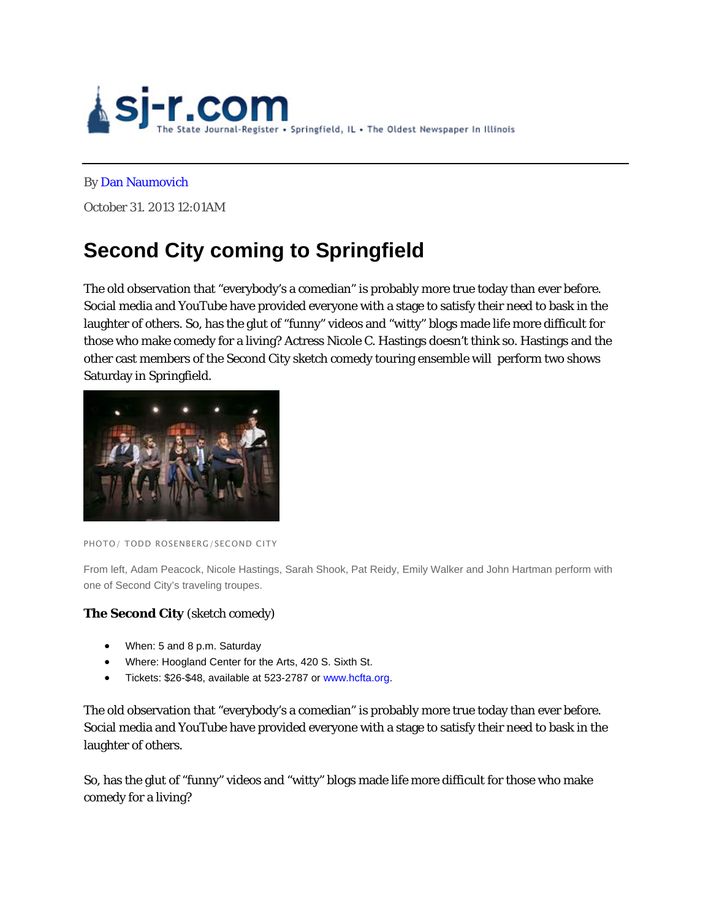

#### By Dan Naumovich

October 31. 2013 12:01AM

# **Second City coming to Springfield**

The old observation that "everybody's a comedian" is probably more true today than ever before. Social media and YouTube have provided everyone with a stage to satisfy their need to bask in the laughter of others. So, has the glut of "funny" videos and "witty" blogs made life more difficult for those who make comedy for a living? Actress Nicole C. Hastings doesn't think so. Hastings and the other cast members of the Second City sketch comedy touring ensemble will perform two shows Saturday in Springfield.



PHOTO/ TODD ROSENBERG/SECOND CITY

From left, Adam Peacock, Nicole Hastings, Sarah Shook, Pat Reidy, Emily Walker and John Hartman perform with one of Second City's traveling troupes.

## **The Second City** (sketch comedy)

- When: 5 and 8 p.m. Saturday
- Where: Hoogland Center for the Arts, 420 S. Sixth St.
- Tickets: \$26-\$48, available at 523-2787 or www.hcfta.org.

The old observation that "everybody's a comedian" is probably more true today than ever before. Social media and YouTube have provided everyone with a stage to satisfy their need to bask in the laughter of others.

So, has the glut of "funny" videos and "witty" blogs made life more difficult for those who make comedy for a living?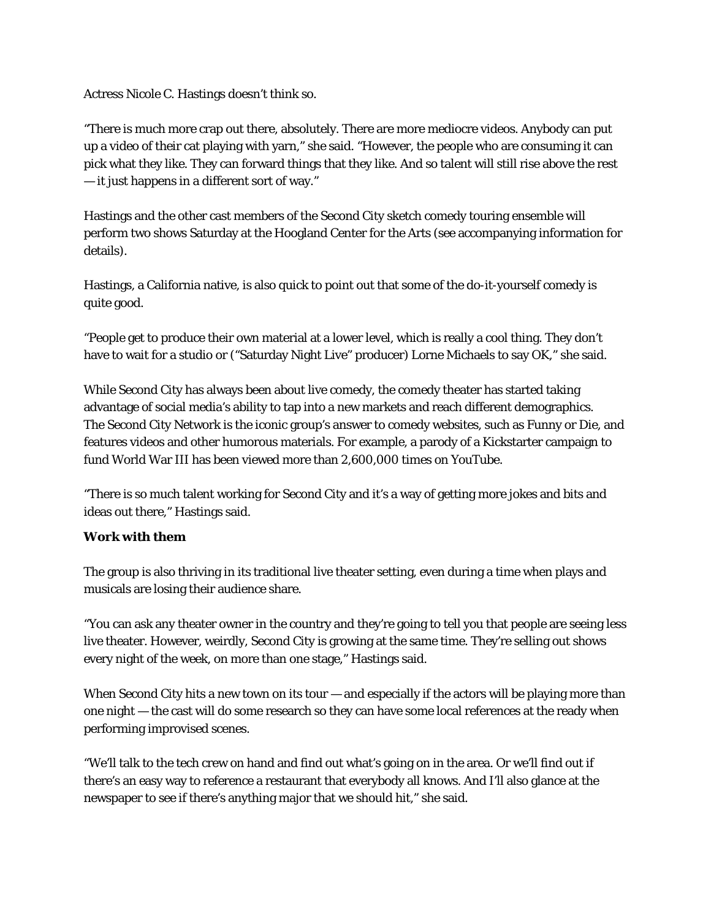Actress Nicole C. Hastings doesn't think so.

"There is much more crap out there, absolutely. There are more mediocre videos. Anybody can put up a video of their cat playing with yarn," she said. "However, the people who are consuming it can pick what they like. They can forward things that they like. And so talent will still rise above the rest — it just happens in a different sort of way."

Hastings and the other cast members of the Second City sketch comedy touring ensemble will perform two shows Saturday at the Hoogland Center for the Arts (see accompanying information for details).

Hastings, a California native, is also quick to point out that some of the do-it-yourself comedy is quite good.

"People get to produce their own material at a lower level, which is really a cool thing. They don't have to wait for a studio or ("Saturday Night Live" producer) Lorne Michaels to say OK," she said.

While Second City has always been about live comedy, the comedy theater has started taking advantage of social media's ability to tap into a new markets and reach different demographics. The Second City Network is the iconic group's answer to comedy websites, such as Funny or Die, and features videos and other humorous materials. For example, a parody of a Kickstarter campaign to fund World War III has been viewed more than 2,600,000 times on YouTube.

"There is so much talent working for Second City and it's a way of getting more jokes and bits and ideas out there," Hastings said.

## **Work with them**

The group is also thriving in its traditional live theater setting, even during a time when plays and musicals are losing their audience share.

"You can ask any theater owner in the country and they're going to tell you that people are seeing less live theater. However, weirdly, Second City is growing at the same time. They're selling out shows every night of the week, on more than one stage," Hastings said.

When Second City hits a new town on its tour  $-$  and especially if the actors will be playing more than one night — the cast will do some research so they can have some local references at the ready when performing improvised scenes.

"We'll talk to the tech crew on hand and find out what's going on in the area. Or we'll find out if there's an easy way to reference a restaurant that everybody all knows. And I'll also glance at the newspaper to see if there's anything major that we should hit," she said.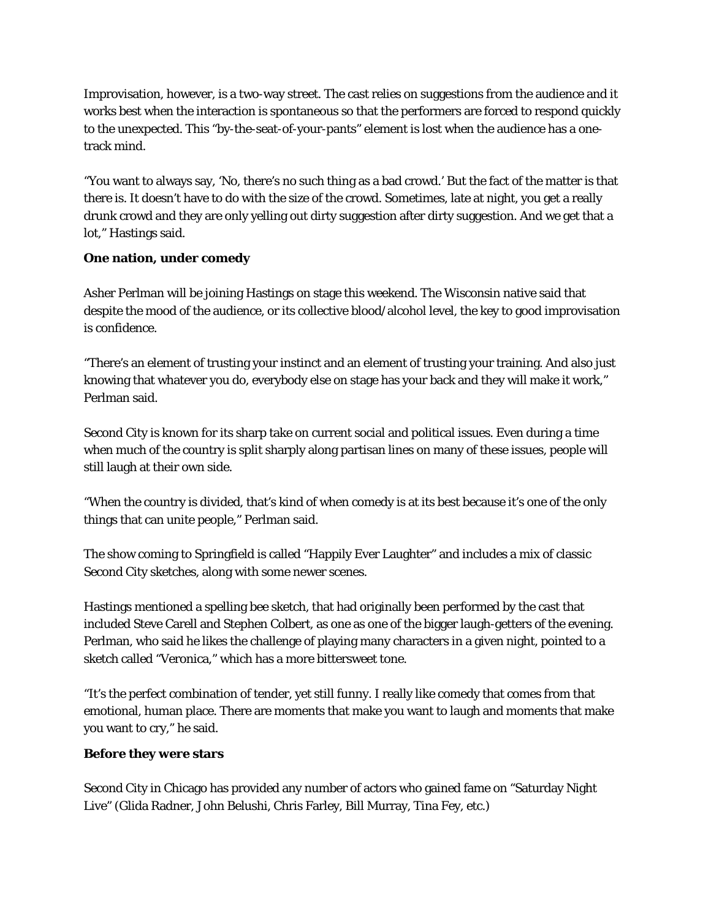Improvisation, however, is a two-way street. The cast relies on suggestions from the audience and it works best when the interaction is spontaneous so that the performers are forced to respond quickly to the unexpected. This "by-the-seat-of-your-pants" element is lost when the audience has a onetrack mind.

"You want to always say, 'No, there's no such thing as a bad crowd.' But the fact of the matter is that there is. It doesn't have to do with the size of the crowd. Sometimes, late at night, you get a really drunk crowd and they are only yelling out dirty suggestion after dirty suggestion. And we get that a lot," Hastings said.

## **One nation, under comedy**

Asher Perlman will be joining Hastings on stage this weekend. The Wisconsin native said that despite the mood of the audience, or its collective blood/alcohol level, the key to good improvisation is confidence.

"There's an element of trusting your instinct and an element of trusting your training. And also just knowing that whatever you do, everybody else on stage has your back and they will make it work," Perlman said.

Second City is known for its sharp take on current social and political issues. Even during a time when much of the country is split sharply along partisan lines on many of these issues, people will still laugh at their own side.

"When the country is divided, that's kind of when comedy is at its best because it's one of the only things that can unite people," Perlman said.

The show coming to Springfield is called "Happily Ever Laughter" and includes a mix of classic Second City sketches, along with some newer scenes.

Hastings mentioned a spelling bee sketch, that had originally been performed by the cast that included Steve Carell and Stephen Colbert, as one as one of the bigger laugh-getters of the evening. Perlman, who said he likes the challenge of playing many characters in a given night, pointed to a sketch called "Veronica," which has a more bittersweet tone.

"It's the perfect combination of tender, yet still funny. I really like comedy that comes from that emotional, human place. There are moments that make you want to laugh and moments that make you want to cry," he said.

#### **Before they were stars**

Second City in Chicago has provided any number of actors who gained fame on "Saturday Night Live" (Glida Radner, John Belushi, Chris Farley, Bill Murray, Tina Fey, etc.)